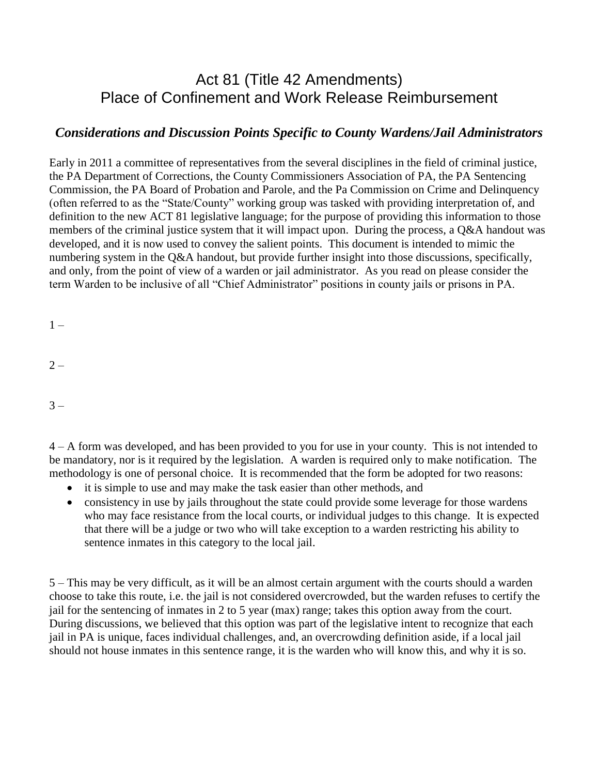## Act 81 (Title 42 Amendments) Place of Confinement and Work Release Reimbursement

## *Considerations and Discussion Points Specific to County Wardens/Jail Administrators*

Early in 2011 a committee of representatives from the several disciplines in the field of criminal justice, the PA Department of Corrections, the County Commissioners Association of PA, the PA Sentencing Commission, the PA Board of Probation and Parole, and the Pa Commission on Crime and Delinquency (often referred to as the "State/County" working group was tasked with providing interpretation of, and definition to the new ACT 81 legislative language; for the purpose of providing this information to those members of the criminal justice system that it will impact upon. During the process, a Q&A handout was developed, and it is now used to convey the salient points. This document is intended to mimic the numbering system in the Q&A handout, but provide further insight into those discussions, specifically, and only, from the point of view of a warden or jail administrator. As you read on please consider the term Warden to be inclusive of all "Chief Administrator" positions in county jails or prisons in PA.

 $1 -$ 

 $2 -$ 

 $3 -$ 

4 – A form was developed, and has been provided to you for use in your county. This is not intended to be mandatory, nor is it required by the legislation. A warden is required only to make notification. The methodology is one of personal choice. It is recommended that the form be adopted for two reasons:

- it is simple to use and may make the task easier than other methods, and
- consistency in use by jails throughout the state could provide some leverage for those wardens who may face resistance from the local courts, or individual judges to this change. It is expected that there will be a judge or two who will take exception to a warden restricting his ability to sentence inmates in this category to the local jail.

5 – This may be very difficult, as it will be an almost certain argument with the courts should a warden choose to take this route, i.e. the jail is not considered overcrowded, but the warden refuses to certify the jail for the sentencing of inmates in 2 to 5 year (max) range; takes this option away from the court. During discussions, we believed that this option was part of the legislative intent to recognize that each jail in PA is unique, faces individual challenges, and, an overcrowding definition aside, if a local jail should not house inmates in this sentence range, it is the warden who will know this, and why it is so.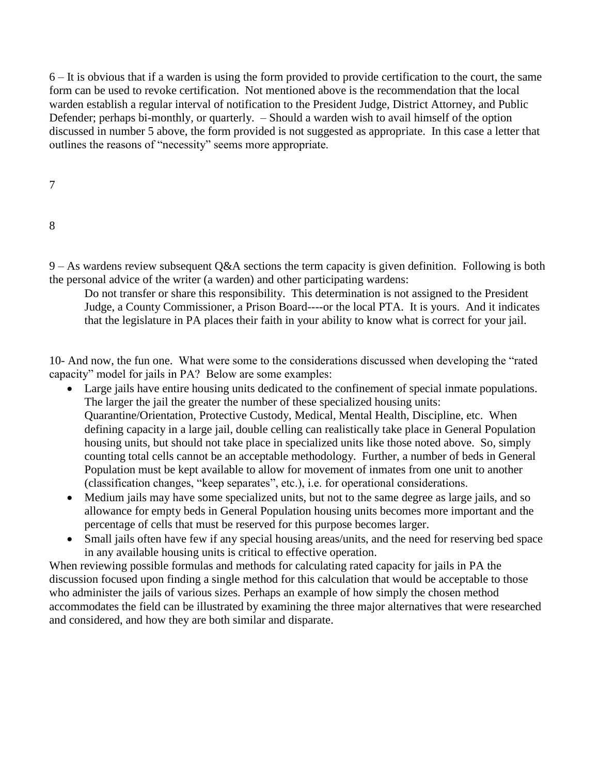6 – It is obvious that if a warden is using the form provided to provide certification to the court, the same form can be used to revoke certification. Not mentioned above is the recommendation that the local warden establish a regular interval of notification to the President Judge, District Attorney, and Public Defender; perhaps bi-monthly, or quarterly. – Should a warden wish to avail himself of the option discussed in number 5 above, the form provided is not suggested as appropriate. In this case a letter that outlines the reasons of "necessity" seems more appropriate.

8

9 – As wardens review subsequent Q&A sections the term capacity is given definition. Following is both the personal advice of the writer (a warden) and other participating wardens:

Do not transfer or share this responsibility. This determination is not assigned to the President Judge, a County Commissioner, a Prison Board----or the local PTA. It is yours. And it indicates that the legislature in PA places their faith in your ability to know what is correct for your jail.

10- And now, the fun one. What were some to the considerations discussed when developing the "rated capacity" model for jails in PA? Below are some examples:

- Large jails have entire housing units dedicated to the confinement of special inmate populations. The larger the jail the greater the number of these specialized housing units: Quarantine/Orientation, Protective Custody, Medical, Mental Health, Discipline, etc. When defining capacity in a large jail, double celling can realistically take place in General Population housing units, but should not take place in specialized units like those noted above. So, simply counting total cells cannot be an acceptable methodology. Further, a number of beds in General Population must be kept available to allow for movement of inmates from one unit to another (classification changes, "keep separates", etc.), i.e. for operational considerations.
- Medium jails may have some specialized units, but not to the same degree as large jails, and so allowance for empty beds in General Population housing units becomes more important and the percentage of cells that must be reserved for this purpose becomes larger.
- Small jails often have few if any special housing areas/units, and the need for reserving bed space in any available housing units is critical to effective operation.

When reviewing possible formulas and methods for calculating rated capacity for jails in PA the discussion focused upon finding a single method for this calculation that would be acceptable to those who administer the jails of various sizes. Perhaps an example of how simply the chosen method accommodates the field can be illustrated by examining the three major alternatives that were researched and considered, and how they are both similar and disparate.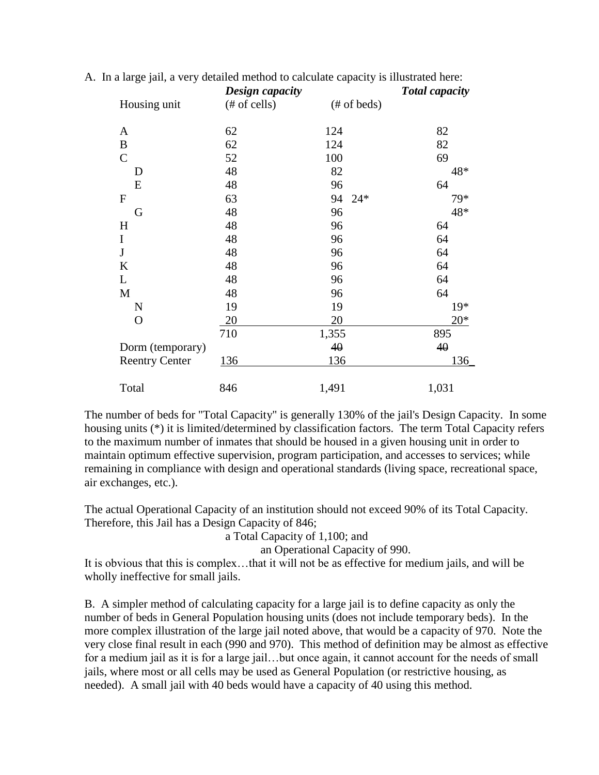|                       | Design capacity |              | <b>Total capacity</b> |
|-----------------------|-----------------|--------------|-----------------------|
| Housing unit          | $#$ of cells)   | $#$ of beds) |                       |
| $\mathbf{A}$          | 62              | 124          | 82                    |
| $\bf{B}$              | 62              | 124          | 82                    |
| $\mathcal{C}$         | 52              | 100          | 69                    |
| D                     | 48              | 82           | 48*                   |
| E                     | 48              | 96           | 64                    |
| $\mathbf F$           | 63              | 94<br>$24*$  | 79*                   |
| G                     | 48              | 96           | 48*                   |
| H                     | 48              | 96           | 64                    |
| $\mathbf I$           | 48              | 96           | 64                    |
| $\mathbf J$           | 48              | 96           | 64                    |
| $\bf K$               | 48              | 96           | 64                    |
| L                     | 48              | 96           | 64                    |
| M                     | 48              | 96           | 64                    |
| $\mathbf N$           | 19              | 19           | $19*$                 |
| $\mathbf{O}$          | 20              | 20           | $20*$                 |
|                       | 710             | 1,355        | 895                   |
| Dorm (temporary)      |                 | 40           | 40                    |
| <b>Reentry Center</b> | 136             | 136          | 136                   |
| Total                 | 846             | 1,491        | 1,031                 |

A. In a large jail, a very detailed method to calculate capacity is illustrated here:

The number of beds for "Total Capacity" is generally 130% of the jail's Design Capacity. In some housing units (\*) it is limited/determined by classification factors. The term Total Capacity refers to the maximum number of inmates that should be housed in a given housing unit in order to maintain optimum effective supervision, program participation, and accesses to services; while remaining in compliance with design and operational standards (living space, recreational space, air exchanges, etc.).

The actual Operational Capacity of an institution should not exceed 90% of its Total Capacity. Therefore, this Jail has a Design Capacity of 846;

a Total Capacity of 1,100; and

an Operational Capacity of 990.

It is obvious that this is complex…that it will not be as effective for medium jails, and will be wholly ineffective for small jails.

B. A simpler method of calculating capacity for a large jail is to define capacity as only the number of beds in General Population housing units (does not include temporary beds). In the more complex illustration of the large jail noted above, that would be a capacity of 970. Note the very close final result in each (990 and 970). This method of definition may be almost as effective for a medium jail as it is for a large jail…but once again, it cannot account for the needs of small jails, where most or all cells may be used as General Population (or restrictive housing, as needed). A small jail with 40 beds would have a capacity of 40 using this method.